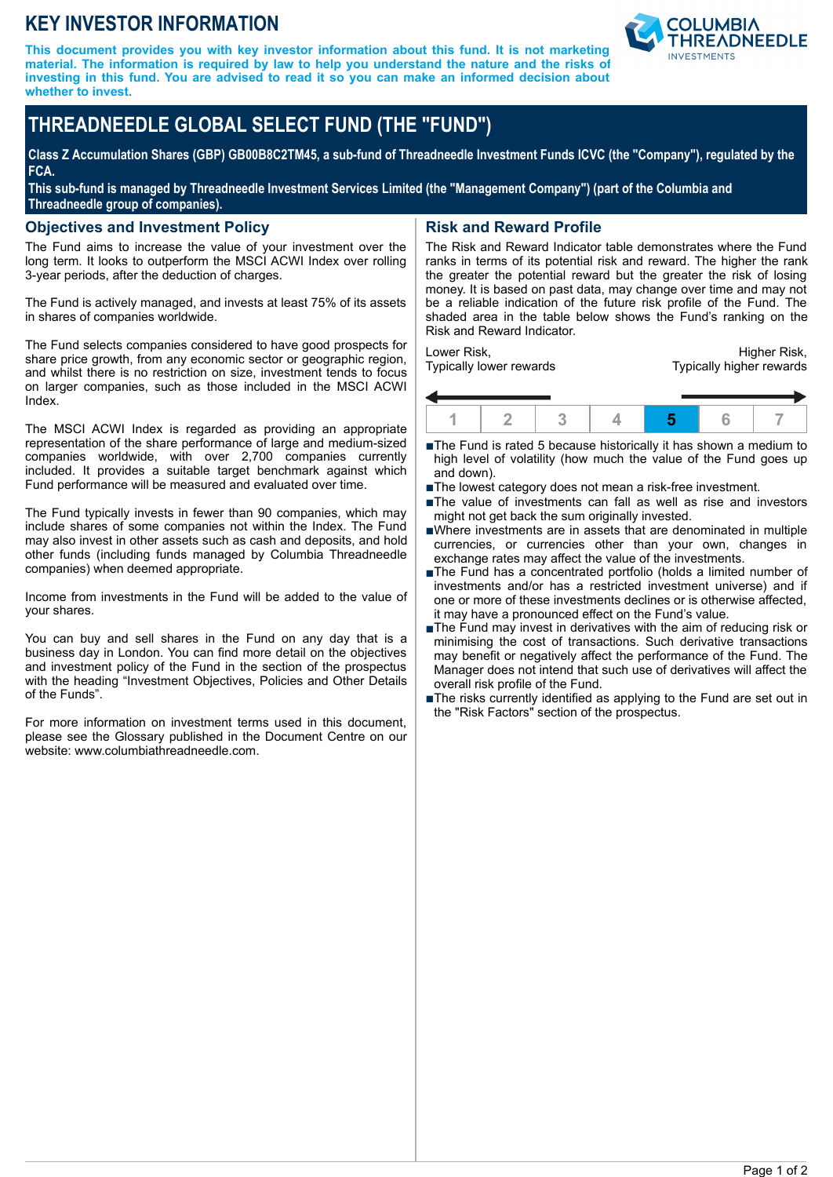## **KEY INVESTOR INFORMATION**

**This document provides you with key investor information about this fund. It is not marketing material. The information is required by law to help you understand the nature and the risks of investing in this fund. You are advised to read it so you can make an informed decision about whether to invest.**



# **THREADNEEDLE GLOBAL SELECT FUND (THE "FUND")**

**Class Z Accumulation Shares (GBP) GB00B8C2TM45, a sub-fund of Threadneedle Investment Funds ICVC (the "Company"), regulated by the FCA.**

**This sub-fund is managed by Threadneedle Investment Services Limited (the "Management Company") (part of the Columbia and Threadneedle group of companies).**

#### **Objectives and Investment Policy**

The Fund aims to increase the value of your investment over the long term. It looks to outperform the MSCI ACWI Index over rolling 3-year periods, after the deduction of charges.

The Fund is actively managed, and invests at least 75% of its assets in shares of companies worldwide.

The Fund selects companies considered to have good prospects for share price growth, from any economic sector or geographic region, and whilst there is no restriction on size, investment tends to focus on larger companies, such as those included in the MSCI ACWI Index.

The MSCI ACWI Index is regarded as providing an appropriate representation of the share performance of large and medium-sized companies worldwide, with over 2,700 companies currently included. It provides a suitable target benchmark against which Fund performance will be measured and evaluated over time.

The Fund typically invests in fewer than 90 companies, which may include shares of some companies not within the Index. The Fund may also invest in other assets such as cash and deposits, and hold other funds (including funds managed by Columbia Threadneedle companies) when deemed appropriate.

Income from investments in the Fund will be added to the value of your shares.

You can buy and sell shares in the Fund on any day that is a business day in London. You can find more detail on the objectives and investment policy of the Fund in the section of the prospectus with the heading "Investment Objectives, Policies and Other Details of the Funds".

For more information on investment terms used in this document, please see the Glossary published in the Document Centre on our website: www.columbiathreadneedle.com.

## **Risk and Reward Profile**

The Risk and Reward Indicator table demonstrates where the Fund ranks in terms of its potential risk and reward. The higher the rank the greater the potential reward but the greater the risk of losing money. It is based on past data, may change over time and may not be a reliable indication of the future risk profile of the Fund. The shaded area in the table below shows the Fund's ranking on the Risk and Reward Indicator.

Lower Risk, Typically lower rewards

Higher Risk, Typically higher rewards



- ■The Fund is rated 5 because historically it has shown a medium to high level of volatility (how much the value of the Fund goes up and down).
- The lowest category does not mean a risk-free investment.
- The value of investments can fall as well as rise and investors might not get back the sum originally invested.
- nWhere investments are in assets that are denominated in multiple currencies, or currencies other than your own, changes in exchange rates may affect the value of the investments.
- ■The Fund has a concentrated portfolio (holds a limited number of investments and/or has a restricted investment universe) and if one or more of these investments declines or is otherwise affected, it may have a pronounced effect on the Fund's value.
- ■The Fund may invest in derivatives with the aim of reducing risk or minimising the cost of transactions. Such derivative transactions may benefit or negatively affect the performance of the Fund. The Manager does not intend that such use of derivatives will affect the overall risk profile of the Fund.
- The risks currently identified as applying to the Fund are set out in the "Risk Factors" section of the prospectus.